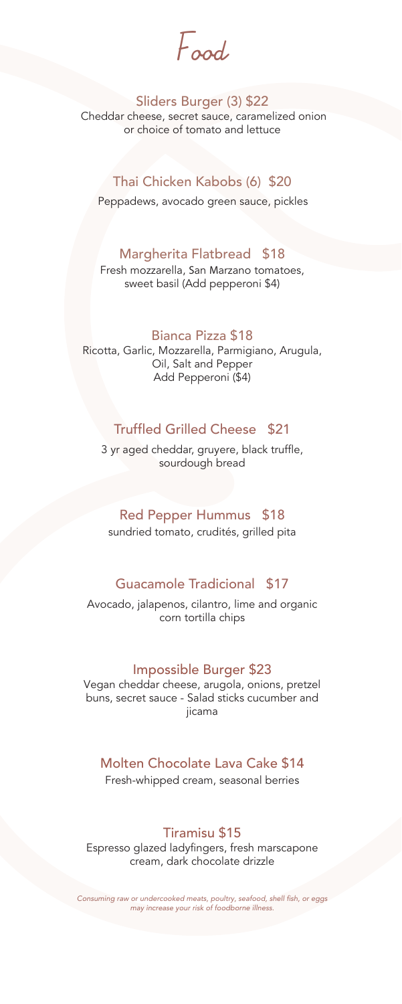Food

#### Sliders Burger (3) \$22

Cheddar cheese, secret sauce, caramelized onion or choice of tomato and lettuce

### Thai Chicken Kabobs (6) \$20

Peppadews, avocado green sauce, pickles

### Margherita Flatbread \$18

Fresh mozzarella, San Marzano tomatoes, sweet basil (Add pepperoni \$4)

#### Bianca Pizza \$18

Ricotta, Garlic, Mozzarella, Parmigiano, Arugula, Oil, Salt and Pepper Add Pepperoni (\$4)

### Truffled Grilled Cheese \$21

3 yr aged cheddar, gruyere, black truffle, sourdough bread

#### Red Pepper Hummus \$18

sundried tomato, crudités, grilled pita

### Guacamole Tradicional \$17

Avocado, jalapenos, cilantro, lime and organic corn tortilla chips

#### Impossible Burger \$23

Vegan cheddar cheese, arugola, onions, pretzel buns, secret sauce - Salad sticks cucumber and jicama

### Molten Chocolate Lava Cake \$14

Fresh-whipped cream, seasonal berries

### Tiramisu \$15

Espresso glazed ladyfingers, fresh marscapone cream, dark chocolate drizzle

Consuming raw or undercooked meats, poultry, seafood, shell fish, or eggs *may increase your risk of foodborne illness.*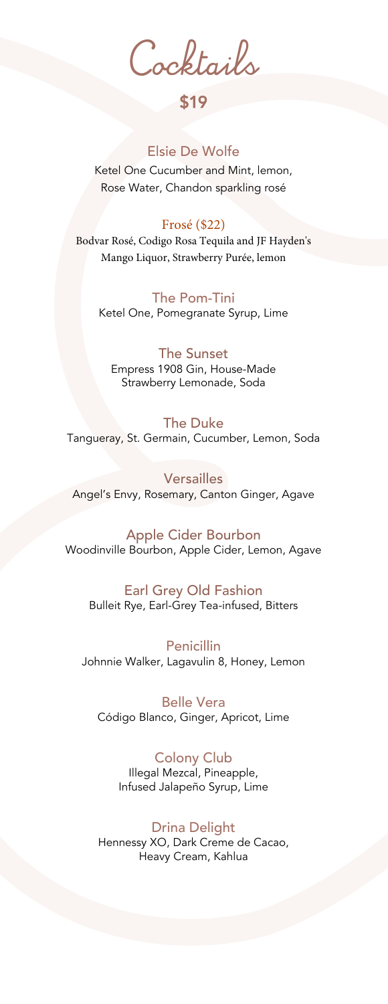Cocktails

# \$19

### Elsie De Wolfe

Ketel One Cucumber and Mint, lemon, Rose Water, Chandon sparkling rosé

#### Frosé (\$22)

Bodvar Rosé, Codigo Rosa Tequila and JF Hayden's Mango Liquor, Strawberry Purée, lemon

The Pom-Tini Ketel One, Pomegranate Syrup, Lime

The Sunset Empress 1908 Gin, House-Made Strawberry Lemonade, Soda

The Duke Tangueray, St. Germain, Cucumber, Lemon, Soda

Versailles Angel's Envy, Rosemary, Canton Ginger, Agave

Apple Cider Bourbon Woodinville Bourbon, Apple Cider, Lemon, Agave

Earl Grey Old Fashion Bulleit Rye, Earl-Grey Tea-infused, Bitters

Penicillin Johnnie Walker, Lagavulin 8, Honey, Lemon

Belle Vera Código Blanco, Ginger, Apricot, Lime

#### Colony Club

Illegal Mezcal, Pineapple, Infused Jalapeño Syrup, Lime

Drina Delight Hennessy XO, Dark Creme de Cacao, Heavy Cream, Kahlua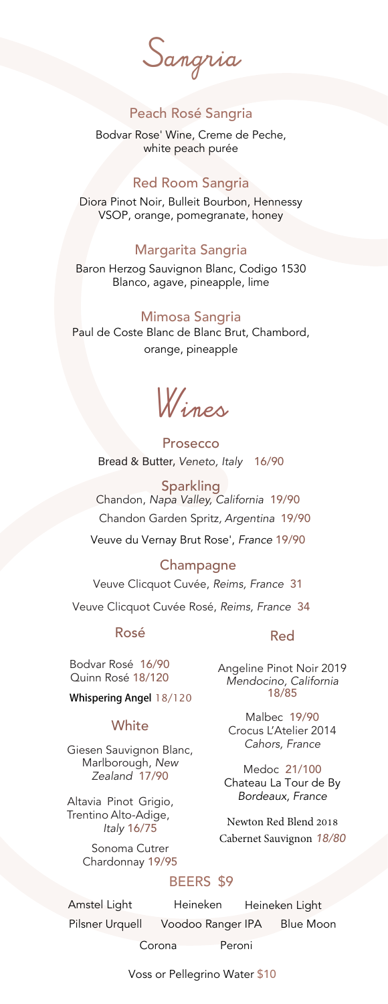Sangria

### Peach Rosé Sangria

Bodvar Rose' Wine, Creme de Peche, white peach purée

#### Red Room Sangria

Diora Pinot Noir, Bulleit Bourbon, Hennessy VSOP, orange, pomegranate, honey

### Margarita Sangria

Baron Herzog Sauvignon Blanc, Codigo 1530 Blanco, agave, pineapple, lime

#### Mimosa Sangria

Paul de Coste Blanc de Blanc Brut, Chambord, orange, pineapple

Wines

Prosecco Bread & Butter, Veneto, Italy 16/90

Sparkling Chandon, *Napa Valley, California* 19/90 Chandon Garden Spritz, Argentina 19/90 Veuve du Vernay Brut Rose', France 19/90

## **Champagne** Veuve Clicquot Cuvée, *Reims, France* 31 Veuve Clicquot Cuvée Rosé, *Reims, France* 34

#### Rosé

Bodvar Rosé 16/90 Quinn Rosé 18/120

#### **Whispering Angel** 18/120

#### **White**

Giesen Sauvignon Blanc, Marlborough, New Zealand 17/90

Altavia Pinot Grigio, Trentino Alto-Adige, Italy 16/75

> Sonoma Cutrer Chardonnay 19/95

#### Red

Angeline Pinot Noir 2019 Mendocino, California 18/85

Malbec 19/90 Crocus L'Atelier 2014 Cahors, France

Medoc 21/100 Chateau La Tour de By Bordeaux, France

Newton Red Blend 2018 Cabernet Sauvignon 18/80

### BEERS \$9

Amstel Light Heineken Heineken Light Pilsner Urquell Voodoo Ranger IPA Blue Moon Corona Peroni

Voss or Pellegrino Water \$10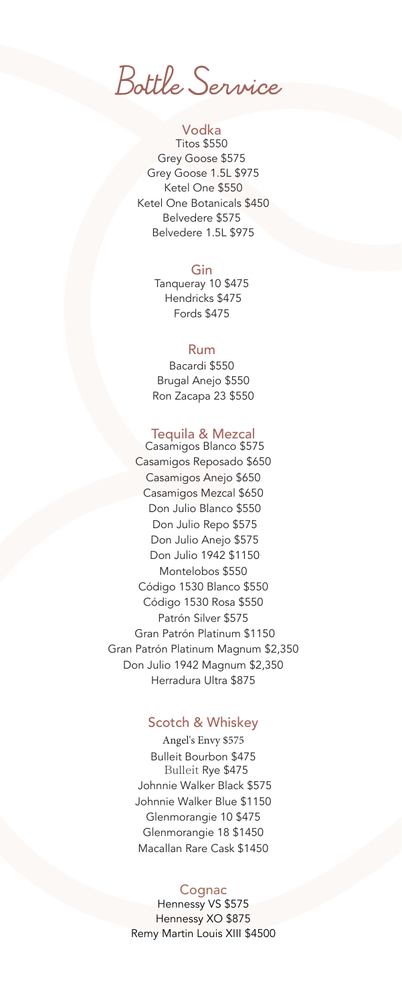Bottle Service

#### Vodka

Titos \$550 Grey Goose \$575 Grey Goose 1.5L \$975 Ketel One \$550 Ketel One Botanicals \$450 Belvedere \$575 Belvedere 1.5L \$975

#### Gin

Tanqueray 10 \$475 Hendricks \$475 Fords \$475

#### Rum

Bacardi \$550 Brugal Anejo \$550 Ron Zacapa 23 \$550

#### Tequila & Mezcal

 Casamigos Blanco \$575 Casamigos Reposado \$650 Casamigos Anejo \$650 Casamigos Mezcal \$650 Don Julio Blanco \$550 Don Julio Repo \$575 Don Julio Anejo \$575 Don Julio 1942 \$1150 Montelobos \$550 Código 1530 Blanco \$550 Código 1530 Rosa \$550 Patrón Silver \$575 Gran Patrón Platinum \$1150 Gran Patrón Platinum Magnum \$2,350 Don Julio 1942 Magnum \$2,350 Herradura Ultra \$875

### Scotch & Whiskey

Angel's Envy \$575 Bulleit Bourbon \$475 Bulleit Rye \$475 Johnnie Walker Black \$575 Johnnie Walker Blue \$1150 Glenmorangie 10 \$475 Glenmorangie 18 \$1450 Macallan Rare Cask \$1450

#### **Cognac**

Hennessy VS \$575 Hennessy XO \$875 Remy Martin Louis XIII \$4500